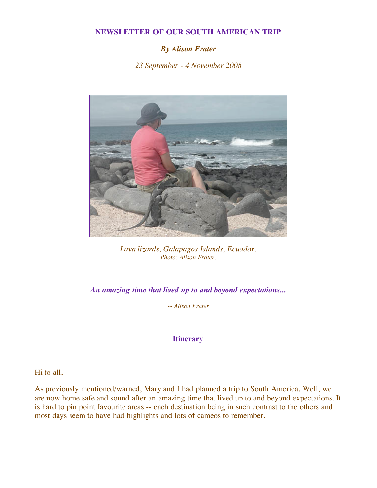## **NEWSLETTER OF OUR SOUTH AMERICAN TRIP**

## *By Alison Frater*

*23 September - 4 November 2008*



*Lava lizards, Galapagos Islands, Ecuador. Photo: Alison Frater.*

*An amazing time that lived up to and beyond expectations...*

*-- Alison Frater*

## **[Itinerary](http://www.inkas.com/tours/guests/frater_simpson.html)**

Hi to all,

As previously mentioned/warned, Mary and I had planned a trip to South America. Well, we are now home safe and sound after an amazing time that lived up to and beyond expectations. It is hard to pin point favourite areas -- each destination being in such contrast to the others and most days seem to have had highlights and lots of cameos to remember.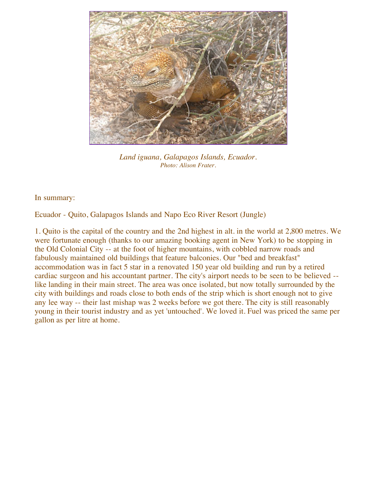

*Land iguana, Galapagos Islands, Ecuador. Photo: Alison Frater.*

In summary:

Ecuador - Quito, Galapagos Islands and Napo Eco River Resort (Jungle)

1. Quito is the capital of the country and the 2nd highest in alt. in the world at 2,800 metres. We were fortunate enough (thanks to our amazing booking agent in New York) to be stopping in the Old Colonial City -- at the foot of higher mountains, with cobbled narrow roads and fabulously maintained old buildings that feature balconies. Our "bed and breakfast" accommodation was in fact 5 star in a renovated 150 year old building and run by a retired cardiac surgeon and his accountant partner. The city's airport needs to be seen to be believed - like landing in their main street. The area was once isolated, but now totally surrounded by the city with buildings and roads close to both ends of the strip which is short enough not to give any lee way -- their last mishap was 2 weeks before we got there. The city is still reasonably young in their tourist industry and as yet 'untouched'. We loved it. Fuel was priced the same per gallon as per litre at home.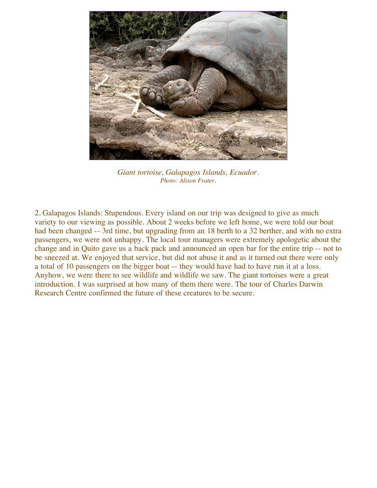

*Giant tortoise, Galapagos Islands, Ecuador. Photo: Alison Frater.*

2. Galapagos Islands: Stupendous. Every island on our trip was designed to give as much variety to our viewing as possible. About 2 weeks before we left home, we were told our boat had been changed -- 3rd time, but upgrading from an 18 berth to a 32 berther, and with no extra passengers, we were not unhappy. The local tour managers were extremely apologetic about the change and in Quito gave us a back pack and announced an open bar for the entire trip -- not to be sneezed at. We enjoyed that service, but did not abuse it and as it turned out there were only a total of 10 passengers on the bigger boat -- they would have had to have run it at a loss. Anyhow, we were there to see wildlife and wildlife we saw. The giant tortoises were a great introduction. I was surprised at how many of them there were. The tour of Charles Darwin Research Centre confirmed the future of these creatures to be secure.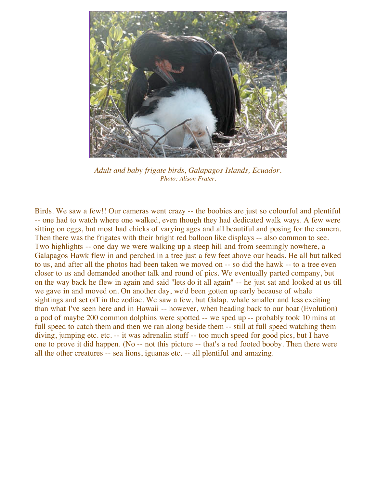

*Adult and baby frigate birds, Galapagos Islands, Ecuador. Photo: Alison Frater.*

Birds. We saw a few!! Our cameras went crazy -- the boobies are just so colourful and plentiful -- one had to watch where one walked, even though they had dedicated walk ways. A few were sitting on eggs, but most had chicks of varying ages and all beautiful and posing for the camera. Then there was the frigates with their bright red balloon like displays -- also common to see. Two highlights -- one day we were walking up a steep hill and from seemingly nowhere, a Galapagos Hawk flew in and perched in a tree just a few feet above our heads. He all but talked to us, and after all the photos had been taken we moved on -- so did the hawk -- to a tree even closer to us and demanded another talk and round of pics. We eventually parted company, but on the way back he flew in again and said "lets do it all again" -- he just sat and looked at us till we gave in and moved on. On another day, we'd been gotten up early because of whale sightings and set off in the zodiac. We saw a few, but Galap. whale smaller and less exciting than what I've seen here and in Hawaii -- however, when heading back to our boat (Evolution) a pod of maybe 200 common dolphins were spotted -- we sped up -- probably took 10 mins at full speed to catch them and then we ran along beside them -- still at full speed watching them diving, jumping etc. etc. -- it was adrenalin stuff -- too much speed for good pics, but I have one to prove it did happen. (No -- not this picture -- that's a red footed booby. Then there were all the other creatures -- sea lions, iguanas etc. -- all plentiful and amazing.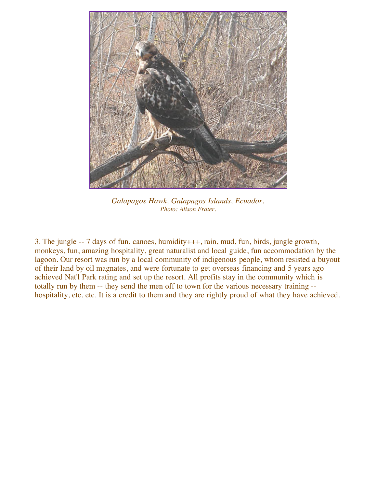

*Galapagos Hawk, Galapagos Islands, Ecuador. Photo: Alison Frater.*

3. The jungle -- 7 days of fun, canoes, humidity+++, rain, mud, fun, birds, jungle growth, monkeys, fun, amazing hospitality, great naturalist and local guide, fun accommodation by the lagoon. Our resort was run by a local community of indigenous people, whom resisted a buyout of their land by oil magnates, and were fortunate to get overseas financing and 5 years ago achieved Nat'l Park rating and set up the resort. All profits stay in the community which is totally run by them -- they send the men off to town for the various necessary training - hospitality, etc. etc. It is a credit to them and they are rightly proud of what they have achieved.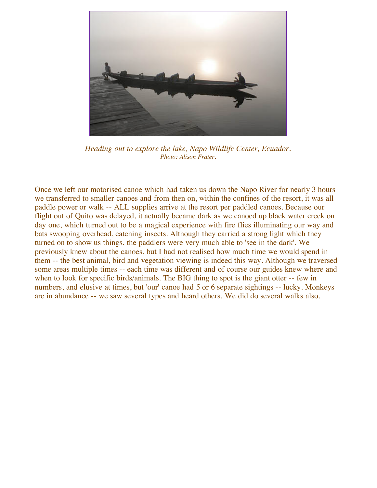

*Heading out to explore the lake, Napo Wildlife Center, Ecuador. Photo: Alison Frater.*

Once we left our motorised canoe which had taken us down the Napo River for nearly 3 hours we transferred to smaller canoes and from then on, within the confines of the resort, it was all paddle power or walk -- ALL supplies arrive at the resort per paddled canoes. Because our flight out of Quito was delayed, it actually became dark as we canoed up black water creek on day one, which turned out to be a magical experience with fire flies illuminating our way and bats swooping overhead, catching insects. Although they carried a strong light which they turned on to show us things, the paddlers were very much able to 'see in the dark'. We previously knew about the canoes, but I had not realised how much time we would spend in them -- the best animal, bird and vegetation viewing is indeed this way. Although we traversed some areas multiple times -- each time was different and of course our guides knew where and when to look for specific birds/animals. The BIG thing to spot is the giant otter -- few in numbers, and elusive at times, but 'our' canoe had 5 or 6 separate sightings -- lucky. Monkeys are in abundance -- we saw several types and heard others. We did do several walks also.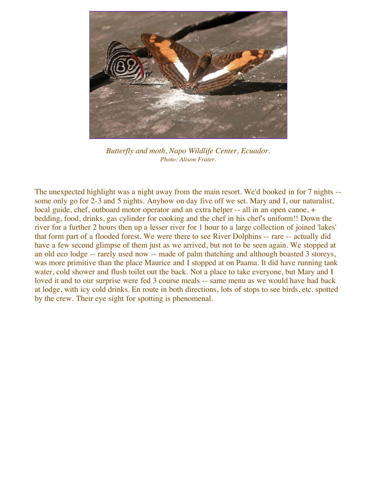

*Butterfly and moth, Napo Wildlife Center, Ecuador. Photo: Alison Frater.*

The unexpected highlight was a night away from the main resort. We'd booked in for 7 nights - some only go for 2-3 and 5 nights. Anyhow on day five off we set. Mary and I, our naturalist, local guide, chef, outboard motor operator and an extra helper -- all in an open canoe, + bedding, food, drinks, gas cylinder for cooking and the chef in his chef's uniform!! Down the river for a further 2 hours then up a lesser river for 1 hour to a large collection of joined 'lakes' that form part of a flooded forest. We were there to see River Dolphins -- rare -- actually did have a few second glimpse of them just as we arrived, but not to be seen again. We stopped at an old eco lodge -- rarely used now -- made of palm thatching and although boasted 3 storeys, was more primitive than the place Maurice and I stopped at on Paama. It did have running tank water, cold shower and flush toilet out the back. Not a place to take everyone, but Mary and I loved it and to our surprise were fed 3 course meals -- same menu as we would have had back at lodge, with icy cold drinks. En route in both directions, lots of stops to see birds, etc. spotted by the crew. Their eye sight for spotting is phenomenal.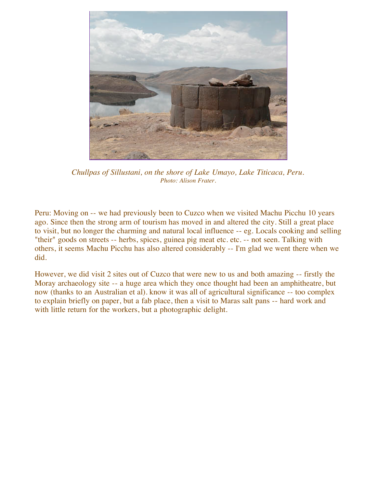

*Chullpas of Sillustani, on the shore of Lake Umayo, Lake Titicaca, Peru. Photo: Alison Frater.*

Peru: Moving on -- we had previously been to Cuzco when we visited Machu Picchu 10 years ago. Since then the strong arm of tourism has moved in and altered the city. Still a great place to visit, but no longer the charming and natural local influence -- eg. Locals cooking and selling "their" goods on streets -- herbs, spices, guinea pig meat etc. etc. -- not seen. Talking with others, it seems Machu Picchu has also altered considerably -- I'm glad we went there when we did.

However, we did visit 2 sites out of Cuzco that were new to us and both amazing -- firstly the Moray archaeology site -- a huge area which they once thought had been an amphitheatre, but now (thanks to an Australian et al). know it was all of agricultural significance -- too complex to explain briefly on paper, but a fab place, then a visit to Maras salt pans -- hard work and with little return for the workers, but a photographic delight.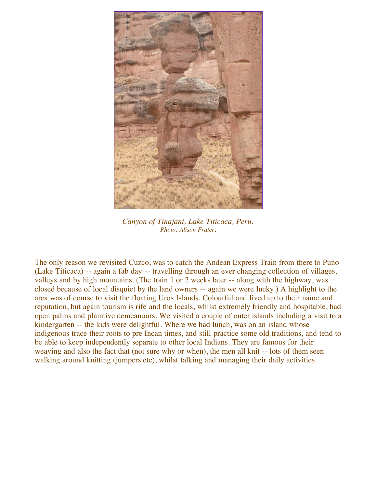

*Canyon of Tinajani, Lake Titicaca, Peru. Photo: Alison Frater.*

The only reason we revisited Cuzco, was to catch the Andean Express Train from there to Puno (Lake Titicaca) -- again a fab day -- travelling through an ever changing collection of villages, valleys and by high mountains. (The train 1 or 2 weeks later -- along with the highway, was closed because of local disquiet by the land owners -- again we were lucky.) A highlight to the area was of course to visit the floating Uros Islands. Colourful and lived up to their name and reputation, but again tourism is rife and the locals, whilst extremely friendly and hospitable, had open palms and plaintive demeanours. We visited a couple of outer islands including a visit to a kindergarten -- the kids were delightful. Where we had lunch, was on an island whose indigenous trace their roots to pre Incan times, and still practice some old traditions, and tend to be able to keep independently separate to other local Indians. They are famous for their weaving and also the fact that (not sure why or when), the men all knit -- lots of them seen walking around knitting (jumpers etc), whilst talking and managing their daily activities.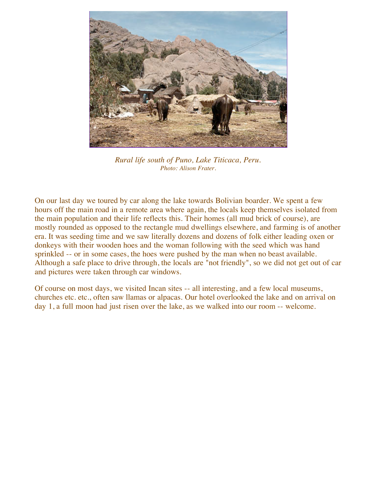

*Rural life south of Puno, Lake Titicaca, Peru. Photo: Alison Frater.*

On our last day we toured by car along the lake towards Bolivian boarder. We spent a few hours off the main road in a remote area where again, the locals keep themselves isolated from the main population and their life reflects this. Their homes (all mud brick of course), are mostly rounded as opposed to the rectangle mud dwellings elsewhere, and farming is of another era. It was seeding time and we saw literally dozens and dozens of folk either leading oxen or donkeys with their wooden hoes and the woman following with the seed which was hand sprinkled -- or in some cases, the hoes were pushed by the man when no beast available. Although a safe place to drive through, the locals are "not friendly", so we did not get out of car and pictures were taken through car windows.

Of course on most days, we visited Incan sites -- all interesting, and a few local museums, churches etc. etc., often saw llamas or alpacas. Our hotel overlooked the lake and on arrival on day 1, a full moon had just risen over the lake, as we walked into our room -- welcome.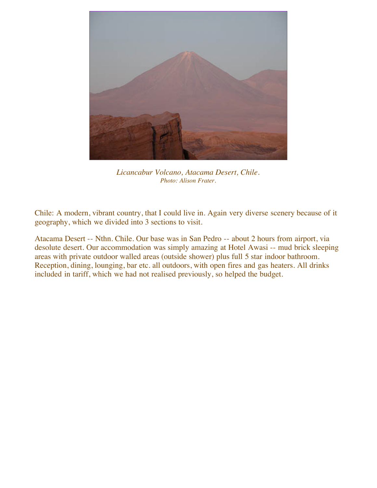

*Licancabur Volcano, Atacama Desert, Chile. Photo: Alison Frater.*

Chile: A modern, vibrant country, that I could live in. Again very diverse scenery because of it geography, which we divided into 3 sections to visit.

Atacama Desert -- Nthn. Chile. Our base was in San Pedro -- about 2 hours from airport, via desolute desert. Our accommodation was simply amazing at Hotel Awasi -- mud brick sleeping areas with private outdoor walled areas (outside shower) plus full 5 star indoor bathroom. Reception, dining, lounging, bar etc. all outdoors, with open fires and gas heaters. All drinks included in tariff, which we had not realised previously, so helped the budget.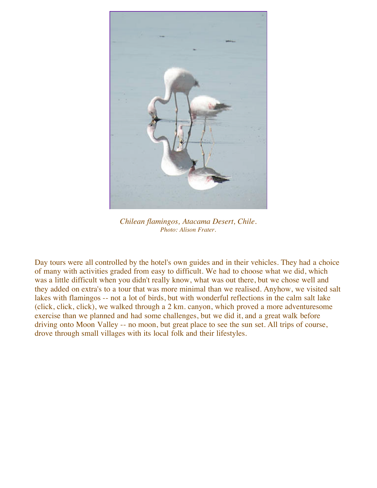

*Chilean flamingos, Atacama Desert, Chile. Photo: Alison Frater.*

Day tours were all controlled by the hotel's own guides and in their vehicles. They had a choice of many with activities graded from easy to difficult. We had to choose what we did, which was a little difficult when you didn't really know, what was out there, but we chose well and they added on extra's to a tour that was more minimal than we realised. Anyhow, we visited salt lakes with flamingos -- not a lot of birds, but with wonderful reflections in the calm salt lake (click, click, click), we walked through a 2 km. canyon, which proved a more adventuresome exercise than we planned and had some challenges, but we did it, and a great walk before driving onto Moon Valley -- no moon, but great place to see the sun set. All trips of course, drove through small villages with its local folk and their lifestyles.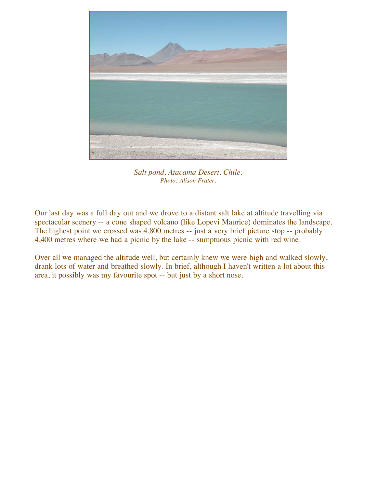

*Salt pond, Atacama Desert, Chile. Photo: Alison Frater.*

Our last day was a full day out and we drove to a distant salt lake at altitude travelling via spectacular scenery -- a cone shaped volcano (like Lopevi Maurice) dominates the landscape. The highest point we crossed was 4,800 metres -- just a very brief picture stop -- probably 4,400 metres where we had a picnic by the lake -- sumptuous picnic with red wine.

Over all we managed the altitude well, but certainly knew we were high and walked slowly, drank lots of water and breathed slowly. In brief, although I haven't written a lot about this area, it possibly was my favourite spot -- but just by a short nose.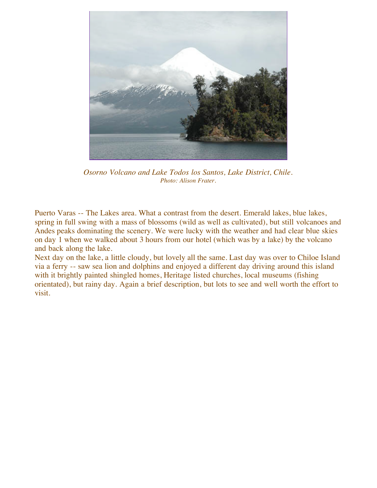

*Osorno Volcano and Lake Todos los Santos, Lake District, Chile. Photo: Alison Frater.*

Puerto Varas -- The Lakes area. What a contrast from the desert. Emerald lakes, blue lakes, spring in full swing with a mass of blossoms (wild as well as cultivated), but still volcanoes and Andes peaks dominating the scenery. We were lucky with the weather and had clear blue skies on day 1 when we walked about 3 hours from our hotel (which was by a lake) by the volcano and back along the lake.

Next day on the lake, a little cloudy, but lovely all the same. Last day was over to Chiloe Island via a ferry -- saw sea lion and dolphins and enjoyed a different day driving around this island with it brightly painted shingled homes, Heritage listed churches, local museums (fishing orientated), but rainy day. Again a brief description, but lots to see and well worth the effort to visit.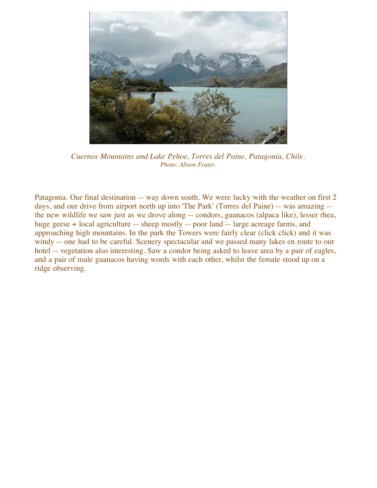

*Cuernos Mountains and Lake Pehoe, Torres del Paine, Patagonia, Chile. Photo: Alison Frater.*

Patagonia. Our final destination -- way down south. We were lucky with the weather on first 2 days, and our drive from airport north up into 'The Park' (Torres del Paine) -- was amazing - the new wildlife we saw just as we drove along -- condors, guanacos (alpaca like), lesser rhea, huge geese + local agriculture -- sheep mostly -- poor land -- large acreage farms, and approaching high mountains. In the park the Towers were fairly clear (click click) and it was windy -- one had to be careful. Scenery spectacular and we passed many lakes en route to our hotel -- vegetation also interesting. Saw a condor being asked to leave area by a pair of eagles, and a pair of male guanacos having words with each other, whilst the female stood up on a ridge observing.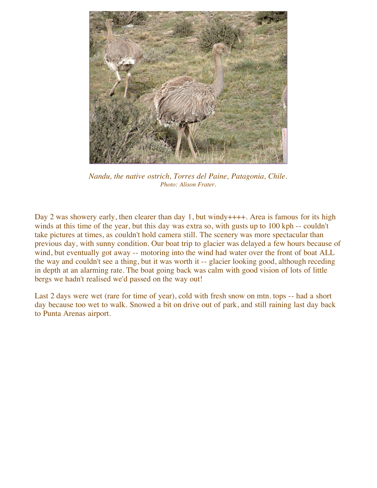

*Nandu, the native ostrich, Torres del Paine, Patagonia, Chile. Photo: Alison Frater.*

Day 2 was showery early, then clearer than day 1, but windy  $+++$ . Area is famous for its high winds at this time of the year, but this day was extra so, with gusts up to 100 kph -- couldn't take pictures at times, as couldn't hold camera still. The scenery was more spectacular than previous day, with sunny condition. Our boat trip to glacier was delayed a few hours because of wind, but eventually got away -- motoring into the wind had water over the front of boat ALL the way and couldn't see a thing, but it was worth it -- glacier looking good, although receding in depth at an alarming rate. The boat going back was calm with good vision of lots of little bergs we hadn't realised we'd passed on the way out!

Last 2 days were wet (rare for time of year), cold with fresh snow on mtn. tops -- had a short day because too wet to walk. Snowed a bit on drive out of park, and still raining last day back to Punta Arenas airport.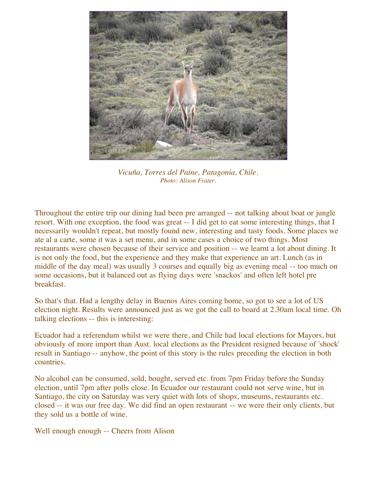

*Vicuña, Torres del Paine, Patagonia, Chile. Photo: Alison Frater.*

Throughout the entire trip our dining had been pre arranged -- not talking about boat or jungle resort. With one exception, the food was great -- I did get to eat some interesting things, that I necessarily wouldn't repeat, but mostly found new, interesting and tasty foods. Some places we ate al a carte, some it was a set menu, and in some cases a choice of two things. Most restaurants were chosen because of their service and position -- we learnt a lot about dining. It is not only the food, but the experience and they make that experience an art. Lunch (as in middle of the day meal) was usually 3 courses and equally big as evening meal -- too much on some occasions, but it balanced out as flying days were 'snackos' and often left hotel pre breakfast.

So that's that. Had a lengthy delay in Buenos Aires coming home, so got to see a lot of US election night. Results were announced just as we got the call to board at 2.30am local time. Oh talking elections -- this is interesting:

Ecuador had a referendum whilst we were there, and Chile had local elections for Mayors, but obviously of more import than Aust. local elections as the President resigned because of 'shock' result in Santiago -- anyhow, the point of this story is the rules preceding the election in both countries.

No alcohol can be consumed, sold, bought, served etc. from 7pm Friday before the Sunday election, until 7pm after polls close. In Ecuador our restaurant could not serve wine, but in Santiago, the city on Saturday was very quiet with lots of shops, museums, restaurants etc. closed -- it was our free day. We did find an open restaurant -- we were their only clients, but they sold us a bottle of wine.

Well enough enough -- Cheers from Alison